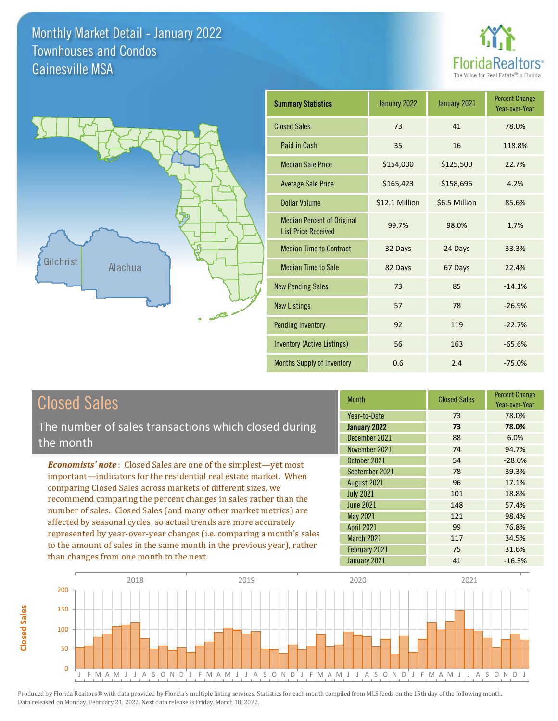**Closed Sales**

**Closed Sales** 





| <b>Summary Statistics</b>                                       | January 2022   | January 2021  | <b>Percent Change</b><br>Year-over-Year |
|-----------------------------------------------------------------|----------------|---------------|-----------------------------------------|
| <b>Closed Sales</b>                                             | 73             | 41            | 78.0%                                   |
| Paid in Cash                                                    | 35             | 16            | 118.8%                                  |
| <b>Median Sale Price</b>                                        | \$154,000      | \$125,500     | 22.7%                                   |
| <b>Average Sale Price</b>                                       | \$165,423      | \$158,696     | 4.2%                                    |
| <b>Dollar Volume</b>                                            | \$12.1 Million | \$6.5 Million | 85.6%                                   |
| <b>Median Percent of Original</b><br><b>List Price Received</b> | 99.7%          | 98.0%         | 1.7%                                    |
| <b>Median Time to Contract</b>                                  | 32 Days        | 24 Days       | 33.3%                                   |
| <b>Median Time to Sale</b>                                      | 82 Days        | 67 Days       | 22.4%                                   |
| <b>New Pending Sales</b>                                        | 73             | 85            | $-14.1%$                                |
| <b>New Listings</b>                                             | 57             | 78            | $-26.9%$                                |
| <b>Pending Inventory</b>                                        | 92             | 119           | $-22.7%$                                |
| <b>Inventory (Active Listings)</b>                              | 56             | 163           | $-65.6%$                                |
| Months Supply of Inventory                                      | 0.6            | 2.4           | $-75.0%$                                |

| <b>Closed Sales</b>                                                                                                                        | <b>Month</b>      | <b>Closed Sales</b> | <b>Percent Change</b><br>Year-over-Year |
|--------------------------------------------------------------------------------------------------------------------------------------------|-------------------|---------------------|-----------------------------------------|
|                                                                                                                                            | Year-to-Date      | 73                  | 78.0%                                   |
| The number of sales transactions which closed during                                                                                       | January 2022      | 73                  | 78.0%                                   |
| the month                                                                                                                                  | December 2021     | 88                  | 6.0%                                    |
|                                                                                                                                            | November 2021     | 74                  | 94.7%                                   |
| <b>Economists' note:</b> Closed Sales are one of the simplest—yet most                                                                     | October 2021      | 54                  | $-28.0%$                                |
| important—indicators for the residential real estate market. When                                                                          | September 2021    | 78                  | 39.3%                                   |
| comparing Closed Sales across markets of different sizes, we                                                                               | August 2021       | 96                  | 17.1%                                   |
| recommend comparing the percent changes in sales rather than the                                                                           | <b>July 2021</b>  | 101                 | 18.8%                                   |
| number of sales. Closed Sales (and many other market metrics) are                                                                          | <b>June 2021</b>  | 148                 | 57.4%                                   |
| affected by seasonal cycles, so actual trends are more accurately<br>represented by year-over-year changes (i.e. comparing a month's sales | May 2021          | 121                 | 98.4%                                   |
|                                                                                                                                            | <b>April 2021</b> | 99                  | 76.8%                                   |
|                                                                                                                                            | March 2021        | 117                 | 34.5%                                   |
| to the amount of sales in the same month in the previous year), rather                                                                     | February 2021     | 75                  | 31.6%                                   |
| than changes from one month to the next.                                                                                                   | January 2021      | 41                  | $-16.3%$                                |

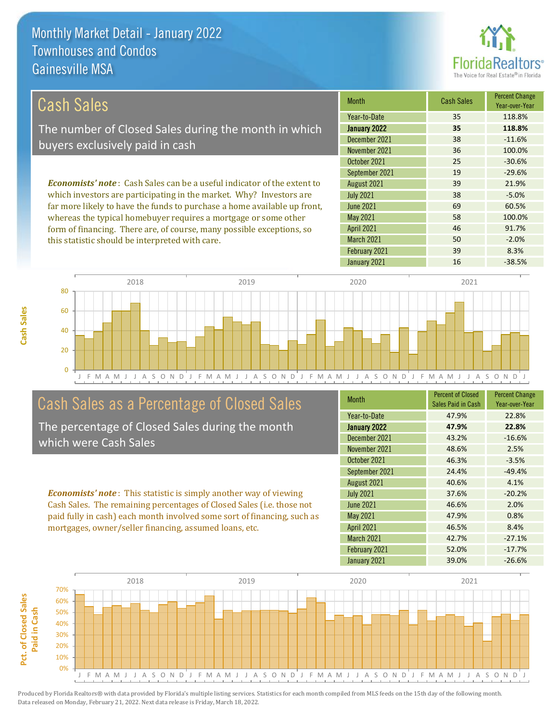this statistic should be interpreted with care.



50 -2.0%

| Cash Sales                                                                     | <b>Month</b>      | <b>Cash Sales</b> | <b>Percent Change</b><br>Year-over-Year |
|--------------------------------------------------------------------------------|-------------------|-------------------|-----------------------------------------|
|                                                                                | Year-to-Date      | 35                | 118.8%                                  |
| The number of Closed Sales during the month in which                           | January 2022      | 35                | 118.8%                                  |
| buyers exclusively paid in cash                                                | December 2021     | 38                | $-11.6%$                                |
|                                                                                | November 2021     | 36                | 100.0%                                  |
|                                                                                | October 2021      | 25                | $-30.6%$                                |
|                                                                                | September 2021    | 19                | $-29.6%$                                |
| <b>Economists' note:</b> Cash Sales can be a useful indicator of the extent to | August 2021       | 39                | 21.9%                                   |
| which investors are participating in the market. Why? Investors are            | <b>July 2021</b>  | 38                | $-5.0%$                                 |
| far more likely to have the funds to purchase a home available up front,       | June 2021         | 69                | 60.5%                                   |
| whereas the typical homebuyer requires a mortgage or some other                | May 2021          | 58                | 100.0%                                  |
| form of financing. There are, of course, many possible exceptions, so          | <b>April 2021</b> | 46                | 91.7%                                   |

J F M A M J J A S O N D J F M A M J J A S O N D J F M A M J J A S O N D J F M A M J J A S O N D J  $\Omega$ 20 40 60 80 2018 2019 2020 2021

# Cash Sales as a Percentage of Closed Sales

The percentage of Closed Sales during the month which were Cash Sales

*Economists' note* : This statistic is simply another way of viewing Cash Sales. The remaining percentages of Closed Sales (i.e. those not paid fully in cash) each month involved some sort of financing, such as mortgages, owner/seller financing, assumed loans, etc.

| <b>Month</b>      | <b>Percent of Closed</b><br>Sales Paid in Cash | <b>Percent Change</b><br>Year-over-Year |
|-------------------|------------------------------------------------|-----------------------------------------|
| Year-to-Date      | 47.9%                                          | 22.8%                                   |
| January 2022      | 47.9%                                          | 22.8%                                   |
| December 2021     | 43.2%                                          | $-16.6%$                                |
| November 2021     | 48.6%                                          | 2.5%                                    |
| October 2021      | 46.3%                                          | $-3.5%$                                 |
| September 2021    | 24.4%                                          | $-49.4%$                                |
| August 2021       | 40.6%                                          | 4.1%                                    |
| <b>July 2021</b>  | 37.6%                                          | $-20.2%$                                |
| <b>June 2021</b>  | 46.6%                                          | 2.0%                                    |
| <b>May 2021</b>   | 47.9%                                          | 0.8%                                    |
| <b>April 2021</b> | 46.5%                                          | 8.4%                                    |
| <b>March 2021</b> | 42.7%                                          | $-27.1%$                                |
| February 2021     | 52.0%                                          | $-17.7%$                                |
| January 2021      | 39.0%                                          | $-26.6%$                                |

February 2021 39 39 8.3%

March 2021

January 2021 16 16 -38.5%

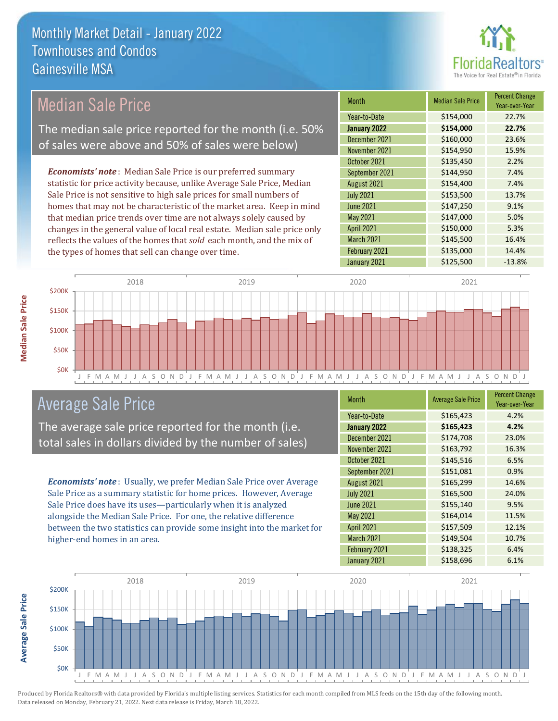

#### *Economists' note* : Median Sale Price is our preferred summary statistic for price activity because, unlike Average Sale Price, Median Sale Price is not sensitive to high sale prices for small numbers of homes that may not be characteristic of the market area. Keep in mind that median price trends over time are not always solely caused by changes in the general value of local real estate. Median sale price only reflects the values of the homes that *sold* each month, and the mix of the types of homes that sell can change over time. January 2021 **5125,500** -13.8% March 2021 **\$145,500** 16.4% February 2021 **\$135,000** 14.4% May 2021 **\$147,000** 5.0% April 2021 **\$150,000** 5.3% \$135,450 2.2% September 2021 **\$144,950** 7.4% June 2021 **\$147,250** 9.1% December 2021 \$160,000 23.6% November 2021 **\$154,950** 15.9% August 2021 **\$154,400** 7.4% July 2021 **\$153,500** 13.7% October 2021 Month Median Sale Price Percent Change Year-over-Year January 2022 **\$154,000 22.7%** Year-to-Date \$154,000 22.7% \$200K 2018 2019 2020 2021 Median Sale Price The median sale price reported for the month (i.e. 50% of sales were above and 50% of sales were below)



# Average Sale Price

The average sale price reported for the month (i.e. total sales in dollars divided by the number of sales)

*Economists' note* : Usually, we prefer Median Sale Price over Average Sale Price as a summary statistic for home prices. However, Average Sale Price does have its uses—particularly when it is analyzed alongside the Median Sale Price. For one, the relative difference between the two statistics can provide some insight into the market for higher-end homes in an area.

| <b>Month</b>      | <b>Average Sale Price</b> | <b>Percent Change</b><br>Year-over-Year |
|-------------------|---------------------------|-----------------------------------------|
| Year-to-Date      | \$165,423                 | 4.2%                                    |
| January 2022      | \$165,423                 | 4.2%                                    |
| December 2021     | \$174,708                 | 23.0%                                   |
| November 2021     | \$163,792                 | 16.3%                                   |
| October 2021      | \$145,516                 | 6.5%                                    |
| September 2021    | \$151,081                 | 0.9%                                    |
| August 2021       | \$165,299                 | 14.6%                                   |
| <b>July 2021</b>  | \$165,500                 | 24.0%                                   |
| <b>June 2021</b>  | \$155,140                 | 9.5%                                    |
| May 2021          | \$164,014                 | 11.5%                                   |
| <b>April 2021</b> | \$157,509                 | 12.1%                                   |
| March 2021        | \$149,504                 | 10.7%                                   |
| February 2021     | \$138,325                 | 6.4%                                    |
| January 2021      | \$158,696                 | 6.1%                                    |



Produced by Florida Realtors® with data provided by Florida's multiple listing services. Statistics for each month compiled from MLS feeds on the 15th day of the following month. Data released on Monday, February 21, 2022. Next data release is Friday, March 18, 2022.

**Average Sale Price**

**Average Sale Price**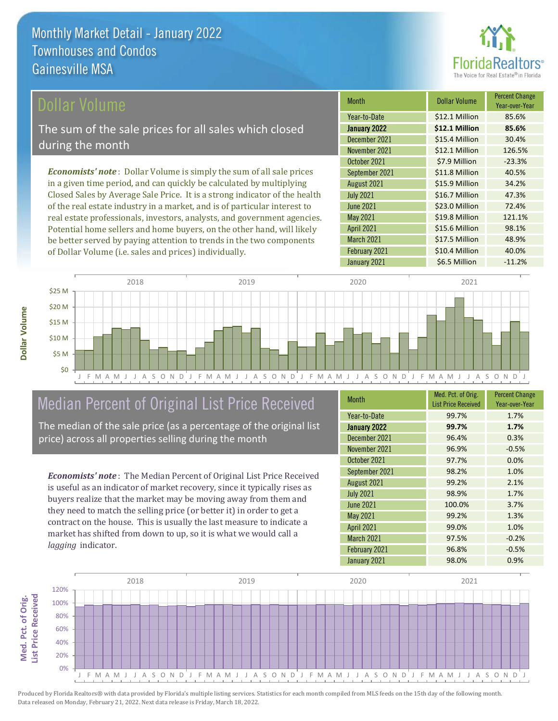

#### Dollar Volume

The sum of the sale prices for all sales which closed during the month

*Economists' note* : Dollar Volume is simply the sum of all sale prices in a given time period, and can quickly be calculated by multiplying Closed Sales by Average Sale Price. It is a strong indicator of the health of the real estate industry in a market, and is of particular interest to real estate professionals, investors, analysts, and government agencies. Potential home sellers and home buyers, on the other hand, will likely be better served by paying attention to trends in the two components of Dollar Volume (i.e. sales and prices) individually.

| <b>Month</b>      | Dollar Volume  | <b>Percent Change</b><br>Year-over-Year |
|-------------------|----------------|-----------------------------------------|
| Year-to-Date      | \$12.1 Million | 85.6%                                   |
| January 2022      | \$12.1 Million | 85.6%                                   |
| December 2021     | \$15.4 Million | 30.4%                                   |
| November 2021     | \$12.1 Million | 126.5%                                  |
| October 2021      | \$7.9 Million  | $-23.3%$                                |
| September 2021    | \$11.8 Million | 40.5%                                   |
| August 2021       | \$15.9 Million | 34.2%                                   |
| <b>July 2021</b>  | \$16.7 Million | 47.3%                                   |
| <b>June 2021</b>  | \$23.0 Million | 72.4%                                   |
| May 2021          | \$19.8 Million | 121.1%                                  |
| <b>April 2021</b> | \$15.6 Million | 98.1%                                   |
| March 2021        | \$17.5 Million | 48.9%                                   |
| February 2021     | \$10.4 Million | 40.0%                                   |
| January 2021      | \$6.5 Million  | $-11.2%$                                |



# Median Percent of Original List Price Received

The median of the sale price (as a percentage of the original list price) across all properties selling during the month

*Economists' note* : The Median Percent of Original List Price Received is useful as an indicator of market recovery, since it typically rises as buyers realize that the market may be moving away from them and they need to match the selling price (or better it) in order to get a contract on the house. This is usually the last measure to indicate a market has shifted from down to up, so it is what we would call a *lagging* indicator.

| <b>Month</b>      | Med. Pct. of Orig.<br><b>List Price Received</b> | <b>Percent Change</b><br>Year-over-Year |
|-------------------|--------------------------------------------------|-----------------------------------------|
| Year-to-Date      | 99.7%                                            | 1.7%                                    |
| January 2022      | 99.7%                                            | 1.7%                                    |
| December 2021     | 96.4%                                            | 0.3%                                    |
| November 2021     | 96.9%                                            | $-0.5%$                                 |
| October 2021      | 97.7%                                            | 0.0%                                    |
| September 2021    | 98.2%                                            | 1.0%                                    |
| August 2021       | 99.2%                                            | 2.1%                                    |
| <b>July 2021</b>  | 98.9%                                            | 1.7%                                    |
| <b>June 2021</b>  | 100.0%                                           | 3.7%                                    |
| <b>May 2021</b>   | 99.2%                                            | 1.3%                                    |
| <b>April 2021</b> | 99.0%                                            | 1.0%                                    |
| March 2021        | 97.5%                                            | $-0.2%$                                 |
| February 2021     | 96.8%                                            | $-0.5%$                                 |
| January 2021      | 98.0%                                            | 0.9%                                    |



**Med. Pct. of Orig. ist Price Received List Price Received** Med. Pct. of Orig.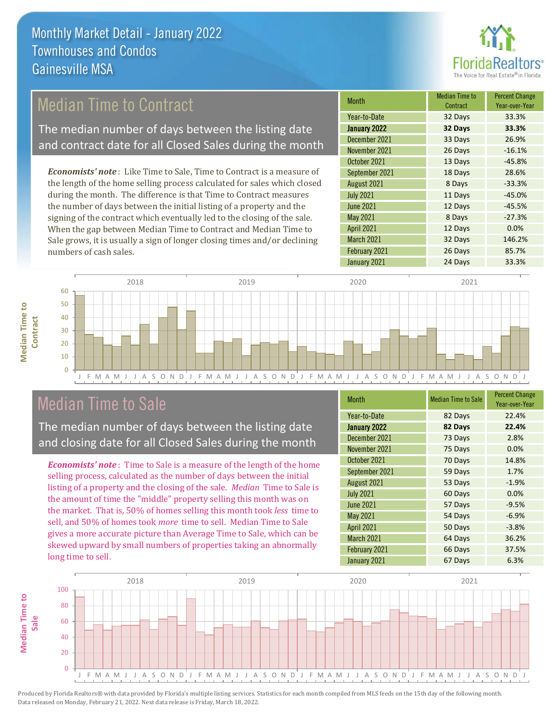

# Median Time to Contract

The median number of days between the listing date and contract date for all Closed Sales during the month

*Economists' note* : Like Time to Sale, Time to Contract is a measure of the length of the home selling process calculated for sales which closed during the month. The difference is that Time to Contract measures the number of days between the initial listing of a property and the signing of the contract which eventually led to the closing of the sale. When the gap between Median Time to Contract and Median Time to Sale grows, it is usually a sign of longer closing times and/or declining numbers of cash sales.

| Month            | <b>Median Time to</b><br>Contract | <b>Percent Change</b><br>Year-over-Year |
|------------------|-----------------------------------|-----------------------------------------|
| Year-to-Date     | 32 Days                           | 33.3%                                   |
| January 2022     | 32 Days                           | 33.3%                                   |
| December 2021    | 33 Days                           | 26.9%                                   |
| November 2021    | 26 Days                           | $-16.1%$                                |
| October 2021     | 13 Days                           | $-45.8%$                                |
| September 2021   | 18 Days                           | 28.6%                                   |
| August 2021      | 8 Days                            | $-33.3%$                                |
| <b>July 2021</b> | 11 Days                           | $-45.0%$                                |
| <b>June 2021</b> | 12 Days                           | $-45.5%$                                |
| May 2021         | 8 Days                            | $-27.3%$                                |
| April 2021       | 12 Days                           | 0.0%                                    |
| March 2021       | 32 Days                           | 146.2%                                  |
| February 2021    | 26 Days                           | 85.7%                                   |
| January 2021     | 24 Days                           | 33.3%                                   |



## Median Time to Sale

**Median Time to** 

**Median Time to** 

The median number of days between the listing date and closing date for all Closed Sales during the month

*Economists' note* : Time to Sale is a measure of the length of the home selling process, calculated as the number of days between the initial listing of a property and the closing of the sale. *Median* Time to Sale is the amount of time the "middle" property selling this month was on the market. That is, 50% of homes selling this month took *less* time to sell, and 50% of homes took *more* time to sell. Median Time to Sale gives a more accurate picture than Average Time to Sale, which can be skewed upward by small numbers of properties taking an abnormally long time to sell.

| <b>Month</b>      | <b>Median Time to Sale</b> | <b>Percent Change</b><br>Year-over-Year |
|-------------------|----------------------------|-----------------------------------------|
| Year-to-Date      | 82 Days                    | 22.4%                                   |
| January 2022      | 82 Days                    | 22.4%                                   |
| December 2021     | 73 Days                    | 2.8%                                    |
| November 2021     | 75 Days                    | 0.0%                                    |
| October 2021      | 70 Days                    | 14.8%                                   |
| September 2021    | 59 Days                    | 1.7%                                    |
| August 2021       | 53 Days                    | $-1.9%$                                 |
| <b>July 2021</b>  | 60 Days                    | 0.0%                                    |
| <b>June 2021</b>  | 57 Days                    | $-9.5%$                                 |
| <b>May 2021</b>   | 54 Days                    | $-6.9%$                                 |
| <b>April 2021</b> | 50 Days                    | $-3.8%$                                 |
| March 2021        | 64 Days                    | 36.2%                                   |
| February 2021     | 66 Days                    | 37.5%                                   |
| January 2021      | 67 Days                    | 6.3%                                    |

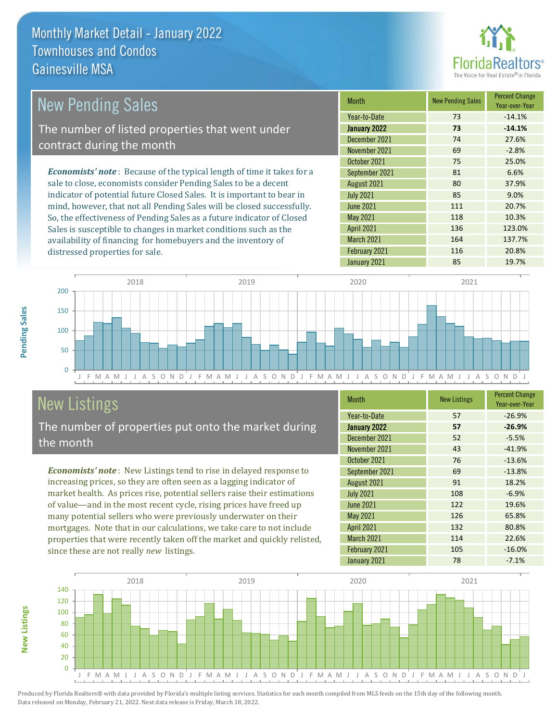

| New Pending Sales'                                                            | <b>Month</b>      | <b>New Pending Sales</b> | <b>Percent Change</b><br>Year-over-Year |
|-------------------------------------------------------------------------------|-------------------|--------------------------|-----------------------------------------|
|                                                                               | Year-to-Date      | 73                       | $-14.1%$                                |
| The number of listed properties that went under                               | January 2022      | 73                       | $-14.1%$                                |
| contract during the month                                                     | December 2021     | 74                       | 27.6%                                   |
|                                                                               | November 2021     | 69                       | $-2.8%$                                 |
|                                                                               | October 2021      | 75                       | 25.0%                                   |
| <b>Economists' note:</b> Because of the typical length of time it takes for a | September 2021    | 81                       | 6.6%                                    |
| sale to close, economists consider Pending Sales to be a decent               | August 2021       | 80                       | 37.9%                                   |
| indicator of potential future Closed Sales. It is important to bear in        | <b>July 2021</b>  | 85                       | 9.0%                                    |
| mind, however, that not all Pending Sales will be closed successfully.        | <b>June 2021</b>  | 111                      | 20.7%                                   |
| So, the effectiveness of Pending Sales as a future indicator of Closed        | May 2021          | 118                      | 10.3%                                   |
| Sales is susceptible to changes in market conditions such as the              | <b>April 2021</b> | 136                      | 123.0%                                  |



# New Listings

**New Listings**

**Pending Sales**

Pending Sales

distressed properties for sale.

The number of properties put onto the market during the month

availability of financing for homebuyers and the inventory of

*Economists' note* : New Listings tend to rise in delayed response to increasing prices, so they are often seen as a lagging indicator of market health. As prices rise, potential sellers raise their estimations of value—and in the most recent cycle, rising prices have freed up many potential sellers who were previously underwater on their mortgages. Note that in our calculations, we take care to not include properties that were recently taken off the market and quickly relisted, since these are not really *new* listings.

| Month             | <b>New Listings</b> | <b>Percent Change</b><br>Year-over-Year |
|-------------------|---------------------|-----------------------------------------|
| Year-to-Date      | 57                  | $-26.9%$                                |
| January 2022      | 57                  | $-26.9%$                                |
| December 2021     | 52                  | $-5.5%$                                 |
| November 2021     | 43                  | $-41.9%$                                |
| October 2021      | 76                  | $-13.6%$                                |
| September 2021    | 69                  | $-13.8%$                                |
| August 2021       | 91                  | 18.2%                                   |
| <b>July 2021</b>  | 108                 | $-6.9%$                                 |
| <b>June 2021</b>  | 122                 | 19.6%                                   |
| May 2021          | 126                 | 65.8%                                   |
| <b>April 2021</b> | 132                 | 80.8%                                   |
| March 2021        | 114                 | 22.6%                                   |
| February 2021     | 105                 | $-16.0%$                                |
| January 2021      | 78                  | $-7.1%$                                 |

March 2021 164 137.7% February 2021 116 116 20.8%

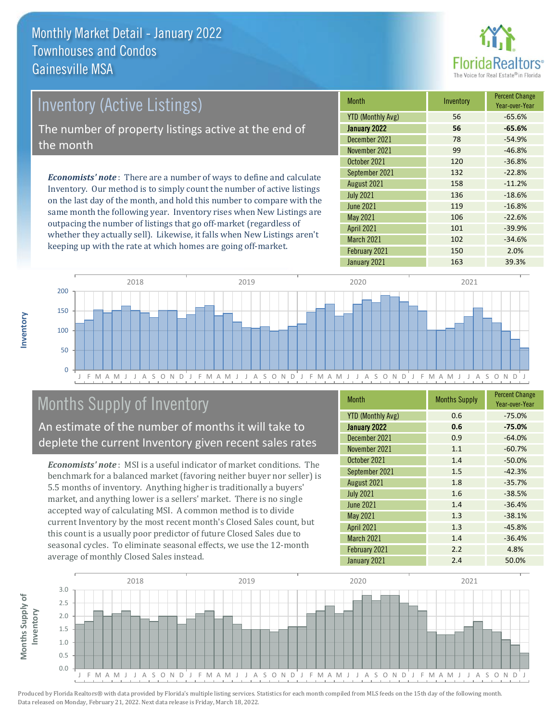

# Inventory (Active Listings) The number of property listings active at the end of the month

*Economists' note* : There are a number of ways to define and calculate Inventory. Our method is to simply count the number of active listings on the last day of the month, and hold this number to compare with the same month the following year. Inventory rises when New Listings are outpacing the number of listings that go off-market (regardless of whether they actually sell). Likewise, it falls when New Listings aren't keeping up with the rate at which homes are going off-market.

| <b>Month</b>             | Inventory | <b>Percent Change</b><br>Year-over-Year |
|--------------------------|-----------|-----------------------------------------|
| <b>YTD (Monthly Avg)</b> | 56        | $-65.6%$                                |
| January 2022             | 56        | $-65.6%$                                |
| December 2021            | 78        | $-54.9%$                                |
| November 2021            | 99        | $-46.8%$                                |
| October 2021             | 120       | $-36.8%$                                |
| September 2021           | 132       | $-22.8%$                                |
| August 2021              | 158       | $-11.2%$                                |
| <b>July 2021</b>         | 136       | $-18.6%$                                |
| <b>June 2021</b>         | 119       | $-16.8%$                                |
| <b>May 2021</b>          | 106       | $-22.6%$                                |
| <b>April 2021</b>        | 101       | $-39.9%$                                |
| March 2021               | 102       | $-34.6%$                                |
| February 2021            | 150       | 2.0%                                    |
| January 2021             | 163       | 39.3%                                   |



# Months Supply of Inventory

An estimate of the number of months it will take to deplete the current Inventory given recent sales rates

*Economists' note* : MSI is a useful indicator of market conditions. The benchmark for a balanced market (favoring neither buyer nor seller) is 5.5 months of inventory. Anything higher is traditionally a buyers' market, and anything lower is a sellers' market. There is no single accepted way of calculating MSI. A common method is to divide current Inventory by the most recent month's Closed Sales count, but this count is a usually poor predictor of future Closed Sales due to seasonal cycles. To eliminate seasonal effects, we use the 12-month average of monthly Closed Sales instead.

| <b>Month</b>             | <b>Months Supply</b> | <b>Percent Change</b><br>Year-over-Year |
|--------------------------|----------------------|-----------------------------------------|
| <b>YTD (Monthly Avg)</b> | 0.6                  | $-75.0%$                                |
| January 2022             | 0.6                  | $-75.0%$                                |
| December 2021            | 0.9                  | $-64.0%$                                |
| November 2021            | 1.1                  | $-60.7%$                                |
| October 2021             | 1.4                  | $-50.0%$                                |
| September 2021           | 1.5                  | $-42.3%$                                |
| August 2021              | 1.8                  | $-35.7%$                                |
| <b>July 2021</b>         | 1.6                  | $-38.5%$                                |
| <b>June 2021</b>         | 1.4                  | $-36.4%$                                |
| May 2021                 | 1.3                  | $-38.1%$                                |
| <b>April 2021</b>        | 1.3                  | $-45.8%$                                |
| <b>March 2021</b>        | 1.4                  | $-36.4%$                                |
| February 2021            | 2.2                  | 4.8%                                    |
| January 2021             | 2.4                  | 50.0%                                   |

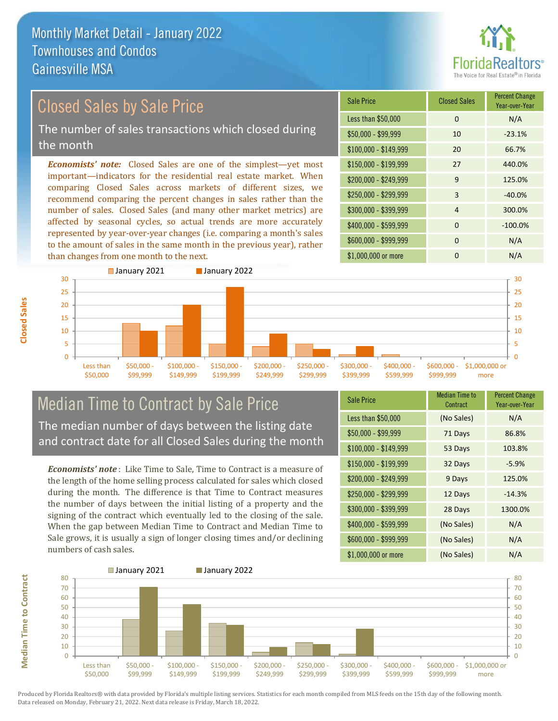

# Closed Sales by Sale Price

The number of sales transactions which closed during the month

*Economists' note:* Closed Sales are one of the simplest—yet most important—indicators for the residential real estate market. When comparing Closed Sales across markets of different sizes, we recommend comparing the percent changes in sales rather than the number of sales. Closed Sales (and many other market metrics) are affected by seasonal cycles, so actual trends are more accurately represented by year-over-year changes (i.e. comparing a month's sales to the amount of sales in the same month in the previous year), rather than changes from one month to the next.

| <b>Sale Price</b>     | <b>Closed Sales</b> | <b>Percent Change</b><br>Year-over-Year |
|-----------------------|---------------------|-----------------------------------------|
| Less than \$50,000    | $\Omega$            | N/A                                     |
| \$50,000 - \$99,999   | 10                  | $-23.1%$                                |
| $$100,000 - $149,999$ | 20                  | 66.7%                                   |
| $$150,000 - $199,999$ | 27                  | 440.0%                                  |
| \$200,000 - \$249,999 | $\mathsf{q}$        | 125.0%                                  |
| \$250,000 - \$299,999 | 3                   | $-40.0%$                                |
| \$300,000 - \$399,999 | 4                   | 300.0%                                  |
| \$400,000 - \$599,999 | $\Omega$            | $-100.0%$                               |
| \$600,000 - \$999,999 | $\Omega$            | N/A                                     |
| \$1,000,000 or more   | O                   | N/A                                     |



# Median Time to Contract by Sale Price The median number of days between the listing date

and contract date for all Closed Sales during the month

*Economists' note* : Like Time to Sale, Time to Contract is a measure of the length of the home selling process calculated for sales which closed during the month. The difference is that Time to Contract measures the number of days between the initial listing of a property and the signing of the contract which eventually led to the closing of the sale. When the gap between Median Time to Contract and Median Time to Sale grows, it is usually a sign of longer closing times and/or declining numbers of cash sales.

| <b>Sale Price</b>     | <b>Median Time to</b><br>Contract | <b>Percent Change</b><br>Year-over-Year |
|-----------------------|-----------------------------------|-----------------------------------------|
| Less than \$50,000    | (No Sales)                        | N/A                                     |
| $$50,000 - $99,999$   | 71 Days                           | 86.8%                                   |
| $$100,000 - $149,999$ | 53 Days                           | 103.8%                                  |
| \$150,000 - \$199,999 | 32 Days                           | $-5.9%$                                 |
| \$200,000 - \$249,999 | 9 Days                            | 125.0%                                  |
| \$250,000 - \$299,999 | 12 Days                           | $-14.3%$                                |
| \$300,000 - \$399,999 | 28 Days                           | 1300.0%                                 |
| \$400,000 - \$599,999 | (No Sales)                        | N/A                                     |
| \$600,000 - \$999,999 | (No Sales)                        | N/A                                     |
| \$1,000,000 or more   | (No Sales)                        | N/A                                     |



**Closed Sales**

**Median Time to Contract Median Time to Contract**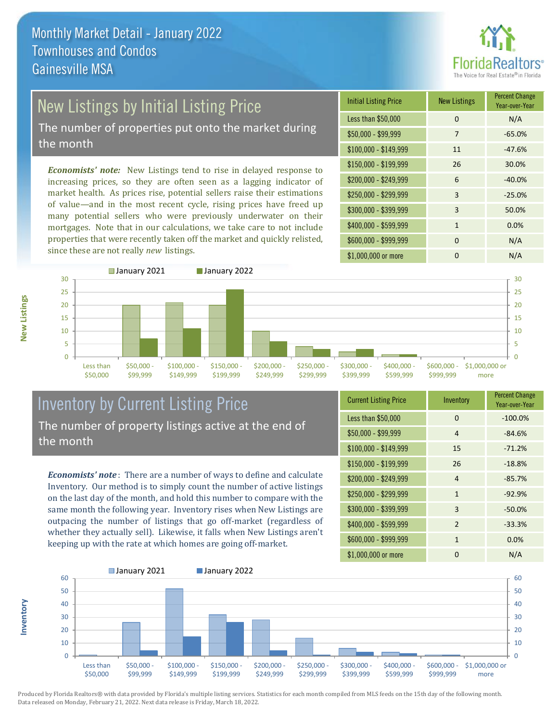

# New Listings by Initial Listing Price

The number of properties put onto the market during the month

*Economists' note:* New Listings tend to rise in delayed response to increasing prices, so they are often seen as a lagging indicator of market health. As prices rise, potential sellers raise their estimations of value—and in the most recent cycle, rising prices have freed up many potential sellers who were previously underwater on their mortgages. Note that in our calculations, we take care to not include properties that were recently taken off the market and quickly relisted, since these are not really *new* listings.

| <b>Initial Listing Price</b> | <b>New Listings</b> | <b>Percent Change</b><br>Year-over-Year |
|------------------------------|---------------------|-----------------------------------------|
| Less than \$50,000           | $\Omega$            | N/A                                     |
| $$50,000 - $99,999$          | 7                   | $-65.0%$                                |
| $$100,000 - $149,999$        | 11                  | $-47.6%$                                |
| $$150,000 - $199,999$        | 26                  | 30.0%                                   |
| \$200,000 - \$249,999        | 6                   | $-40.0%$                                |
| \$250,000 - \$299,999        | 3                   | $-25.0%$                                |
| \$300,000 - \$399,999        | 3                   | 50.0%                                   |
| \$400,000 - \$599,999        | 1                   | 0.0%                                    |
| \$600,000 - \$999,999        | $\Omega$            | N/A                                     |
| \$1,000,000 or more          | ŋ                   | N/A                                     |



### Inventory by Current Listing Price The number of property listings active at the end of the month

*Economists' note* : There are a number of ways to define and calculate Inventory. Our method is to simply count the number of active listings on the last day of the month, and hold this number to compare with the same month the following year. Inventory rises when New Listings are outpacing the number of listings that go off-market (regardless of whether they actually sell). Likewise, it falls when New Listings aren't keeping up with the rate at which homes are going off-market.

| <b>Current Listing Price</b> | Inventory      | <b>Percent Change</b><br>Year-over-Year |
|------------------------------|----------------|-----------------------------------------|
| Less than \$50,000           | $\Omega$       | $-100.0%$                               |
| $$50,000 - $99,999$          | 4              | $-84.6%$                                |
| $$100,000 - $149,999$        | 15             | $-71.2%$                                |
| $$150,000 - $199,999$        | 26             | $-18.8%$                                |
| \$200,000 - \$249,999        | 4              | $-85.7%$                                |
| \$250,000 - \$299,999        | $\mathbf{1}$   | $-92.9%$                                |
| \$300,000 - \$399,999        | 3              | $-50.0%$                                |
| \$400,000 - \$599,999        | $\overline{2}$ | $-33.3%$                                |
| \$600,000 - \$999,999        | $\mathbf{1}$   | 0.0%                                    |
| \$1,000,000 or more          | 0              | N/A                                     |



Produced by Florida Realtors® with data provided by Florida's multiple listing services. Statistics for each month compiled from MLS feeds on the 15th day of the following month. Data released on Monday, February 21, 2022. Next data release is Friday, March 18, 2022.

**Inventory**